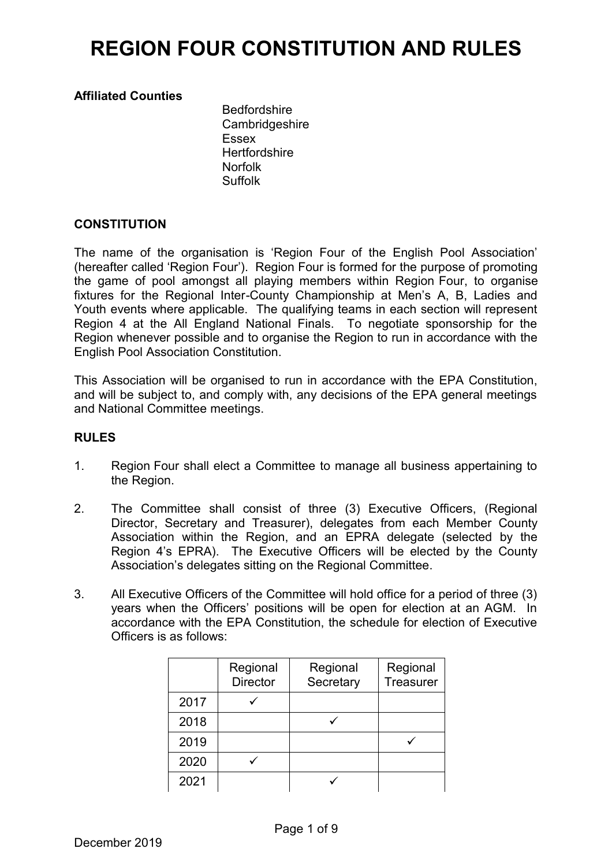### **Affiliated Counties**

Bedfordshire **Cambridgeshire** Essex **Hertfordshire** Norfolk Suffolk

### **CONSTITUTION**

The name of the organisation is 'Region Four of the English Pool Association' (hereafter called 'Region Four'). Region Four is formed for the purpose of promoting the game of pool amongst all playing members within Region Four, to organise fixtures for the Regional Inter-County Championship at Men's A, B, Ladies and Youth events where applicable. The qualifying teams in each section will represent Region 4 at the All England National Finals. To negotiate sponsorship for the Region whenever possible and to organise the Region to run in accordance with the English Pool Association Constitution.

This Association will be organised to run in accordance with the EPA Constitution, and will be subject to, and comply with, any decisions of the EPA general meetings and National Committee meetings.

#### **RULES**

- 1. Region Four shall elect a Committee to manage all business appertaining to the Region.
- 2. The Committee shall consist of three (3) Executive Officers, (Regional Director, Secretary and Treasurer), delegates from each Member County Association within the Region, and an EPRA delegate (selected by the Region 4's EPRA). The Executive Officers will be elected by the County Association's delegates sitting on the Regional Committee.
- 3. All Executive Officers of the Committee will hold office for a period of three (3) years when the Officers' positions will be open for election at an AGM. In accordance with the EPA Constitution, the schedule for election of Executive Officers is as follows:

|      | Regional<br><b>Director</b> | Regional<br>Secretary | Regional<br>Treasurer |
|------|-----------------------------|-----------------------|-----------------------|
| 2017 |                             |                       |                       |
| 2018 |                             |                       |                       |
| 2019 |                             |                       |                       |
| 2020 |                             |                       |                       |
| 2021 |                             |                       |                       |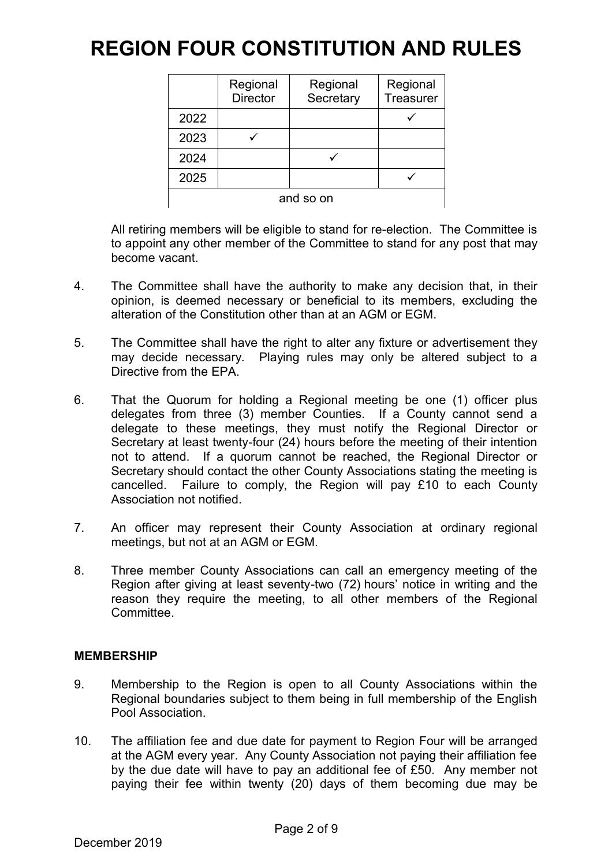|           | Regional<br><b>Director</b> | Regional<br>Secretary | Regional<br>Treasurer |  |
|-----------|-----------------------------|-----------------------|-----------------------|--|
| 2022      |                             |                       |                       |  |
| 2023      |                             |                       |                       |  |
| 2024      |                             |                       |                       |  |
| 2025      |                             |                       |                       |  |
| and so on |                             |                       |                       |  |

All retiring members will be eligible to stand for re-election. The Committee is to appoint any other member of the Committee to stand for any post that may become vacant.

- 4. The Committee shall have the authority to make any decision that, in their opinion, is deemed necessary or beneficial to its members, excluding the alteration of the Constitution other than at an AGM or EGM.
- 5. The Committee shall have the right to alter any fixture or advertisement they may decide necessary. Playing rules may only be altered subject to a Directive from the EPA.
- 6. That the Quorum for holding a Regional meeting be one (1) officer plus delegates from three (3) member Counties. If a County cannot send a delegate to these meetings, they must notify the Regional Director or Secretary at least twenty-four (24) hours before the meeting of their intention not to attend. If a quorum cannot be reached, the Regional Director or Secretary should contact the other County Associations stating the meeting is cancelled. Failure to comply, the Region will pay £10 to each County Association not notified.
- 7. An officer may represent their County Association at ordinary regional meetings, but not at an AGM or EGM.
- 8. Three member County Associations can call an emergency meeting of the Region after giving at least seventy-two (72) hours' notice in writing and the reason they require the meeting, to all other members of the Regional Committee.

### **MEMBERSHIP**

- 9. Membership to the Region is open to all County Associations within the Regional boundaries subject to them being in full membership of the English Pool Association.
- 10. The affiliation fee and due date for payment to Region Four will be arranged at the AGM every year. Any County Association not paying their affiliation fee by the due date will have to pay an additional fee of £50. Any member not paying their fee within twenty (20) days of them becoming due may be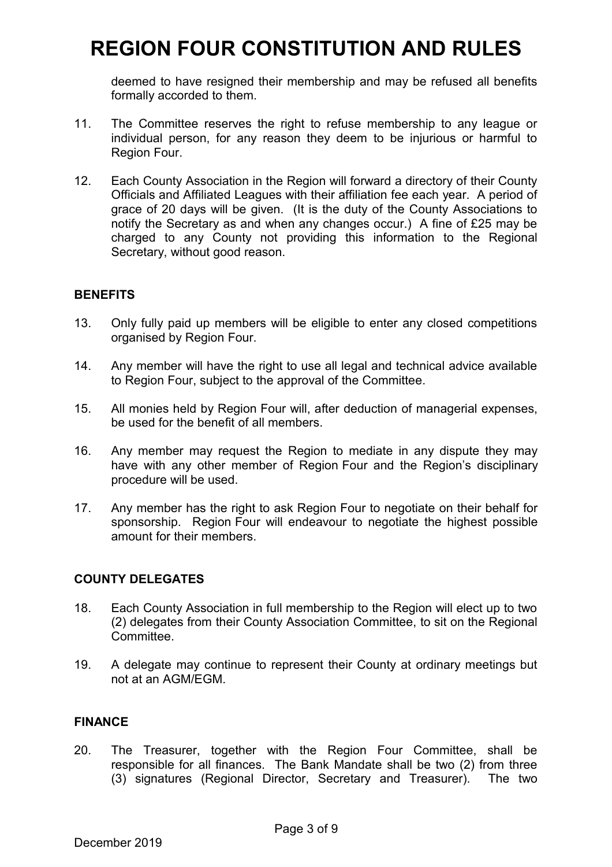deemed to have resigned their membership and may be refused all benefits formally accorded to them.

- 11. The Committee reserves the right to refuse membership to any league or individual person, for any reason they deem to be injurious or harmful to Region Four.
- 12. Each County Association in the Region will forward a directory of their County Officials and Affiliated Leagues with their affiliation fee each year. A period of grace of 20 days will be given. (It is the duty of the County Associations to notify the Secretary as and when any changes occur.) A fine of £25 may be charged to any County not providing this information to the Regional Secretary, without good reason.

### **BENEFITS**

- 13. Only fully paid up members will be eligible to enter any closed competitions organised by Region Four.
- 14. Any member will have the right to use all legal and technical advice available to Region Four, subject to the approval of the Committee.
- 15. All monies held by Region Four will, after deduction of managerial expenses, be used for the benefit of all members.
- 16. Any member may request the Region to mediate in any dispute they may have with any other member of Region Four and the Region's disciplinary procedure will be used.
- 17. Any member has the right to ask Region Four to negotiate on their behalf for sponsorship. Region Four will endeavour to negotiate the highest possible amount for their members.

### **COUNTY DELEGATES**

- 18. Each County Association in full membership to the Region will elect up to two (2) delegates from their County Association Committee, to sit on the Regional Committee.
- 19. A delegate may continue to represent their County at ordinary meetings but not at an AGM/EGM.

### **FINANCE**

20. The Treasurer, together with the Region Four Committee, shall be responsible for all finances. The Bank Mandate shall be two (2) from three (3) signatures (Regional Director, Secretary and Treasurer). The two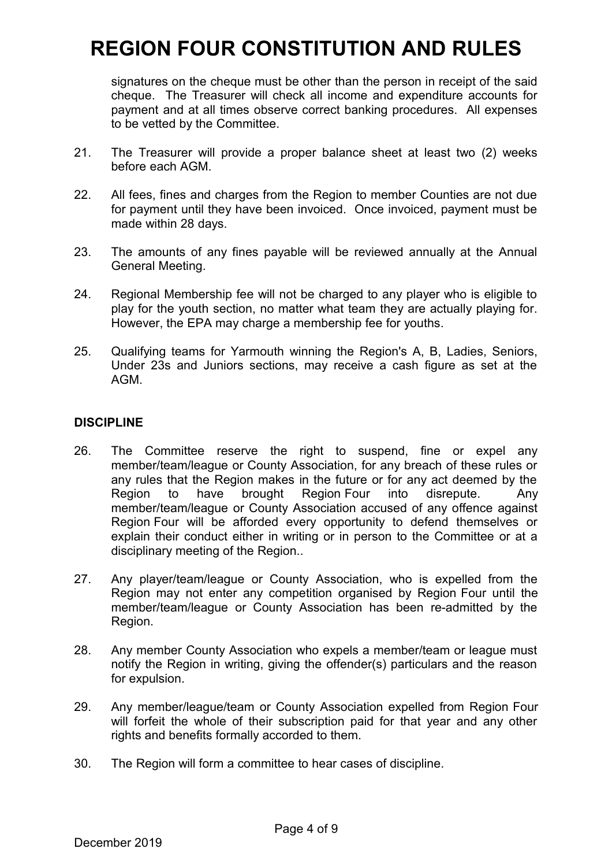signatures on the cheque must be other than the person in receipt of the said cheque. The Treasurer will check all income and expenditure accounts for payment and at all times observe correct banking procedures. All expenses to be vetted by the Committee.

- 21. The Treasurer will provide a proper balance sheet at least two (2) weeks before each AGM.
- 22. All fees, fines and charges from the Region to member Counties are not due for payment until they have been invoiced. Once invoiced, payment must be made within 28 days.
- 23. The amounts of any fines payable will be reviewed annually at the Annual General Meeting.
- 24. Regional Membership fee will not be charged to any player who is eligible to play for the youth section, no matter what team they are actually playing for. However, the EPA may charge a membership fee for youths.
- 25. Qualifying teams for Yarmouth winning the Region's A, B, Ladies, Seniors, Under 23s and Juniors sections, may receive a cash figure as set at the AGM.

### **DISCIPLINE**

- 26. The Committee reserve the right to suspend, fine or expel any member/team/league or County Association, for any breach of these rules or any rules that the Region makes in the future or for any act deemed by the Region to have brought Region Four into disrepute. Any member/team/league or County Association accused of any offence against Region Four will be afforded every opportunity to defend themselves or explain their conduct either in writing or in person to the Committee or at a disciplinary meeting of the Region..
- 27. Any player/team/league or County Association, who is expelled from the Region may not enter any competition organised by Region Four until the member/team/league or County Association has been re-admitted by the Region.
- 28. Any member County Association who expels a member/team or league must notify the Region in writing, giving the offender(s) particulars and the reason for expulsion.
- 29. Any member/league/team or County Association expelled from Region Four will forfeit the whole of their subscription paid for that year and any other rights and benefits formally accorded to them.
- 30. The Region will form a committee to hear cases of discipline.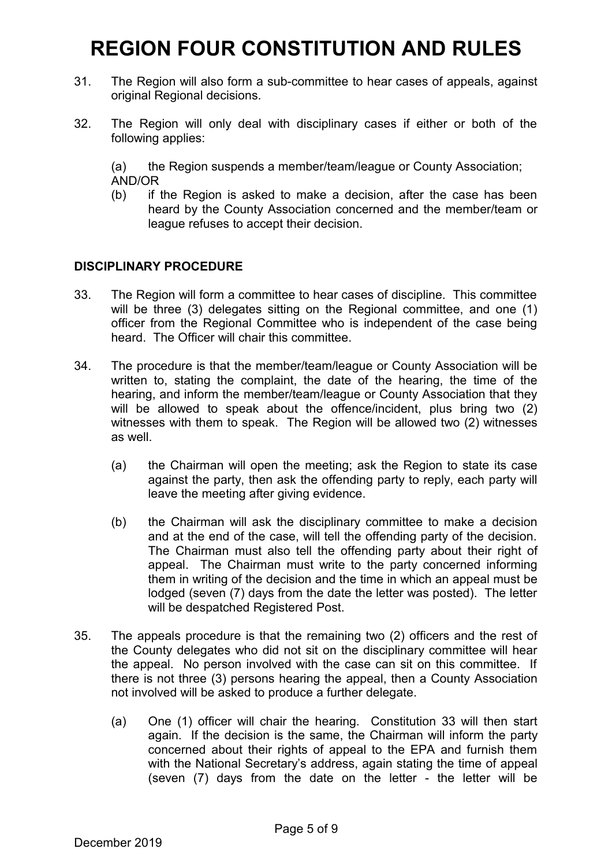- 31. The Region will also form a sub-committee to hear cases of appeals, against original Regional decisions.
- 32. The Region will only deal with disciplinary cases if either or both of the following applies:

(a) the Region suspends a member/team/league or County Association; AND/OR

(b) if the Region is asked to make a decision, after the case has been heard by the County Association concerned and the member/team or league refuses to accept their decision.

### **DISCIPLINARY PROCEDURE**

- 33. The Region will form a committee to hear cases of discipline. This committee will be three (3) delegates sitting on the Regional committee, and one (1) officer from the Regional Committee who is independent of the case being heard. The Officer will chair this committee.
- 34. The procedure is that the member/team/league or County Association will be written to, stating the complaint, the date of the hearing, the time of the hearing, and inform the member/team/league or County Association that they will be allowed to speak about the offence/incident, plus bring two (2) witnesses with them to speak. The Region will be allowed two (2) witnesses as well.
	- (a) the Chairman will open the meeting; ask the Region to state its case against the party, then ask the offending party to reply, each party will leave the meeting after giving evidence.
	- (b) the Chairman will ask the disciplinary committee to make a decision and at the end of the case, will tell the offending party of the decision. The Chairman must also tell the offending party about their right of appeal. The Chairman must write to the party concerned informing them in writing of the decision and the time in which an appeal must be lodged (seven (7) days from the date the letter was posted). The letter will be despatched Registered Post.
- 35. The appeals procedure is that the remaining two (2) officers and the rest of the County delegates who did not sit on the disciplinary committee will hear the appeal. No person involved with the case can sit on this committee. If there is not three (3) persons hearing the appeal, then a County Association not involved will be asked to produce a further delegate.
	- (a) One (1) officer will chair the hearing. Constitution 33 will then start again. If the decision is the same, the Chairman will inform the party concerned about their rights of appeal to the EPA and furnish them with the National Secretary's address, again stating the time of appeal (seven (7) days from the date on the letter - the letter will be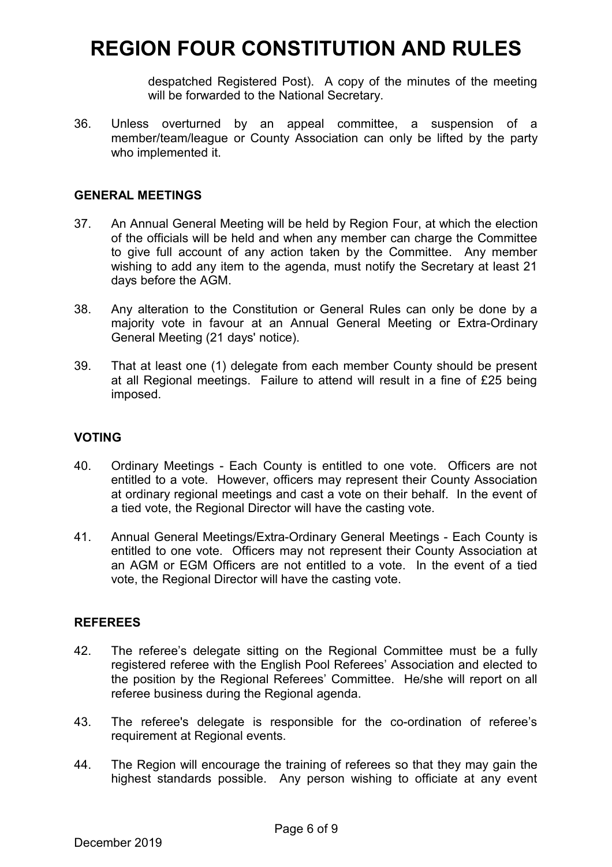despatched Registered Post). A copy of the minutes of the meeting will be forwarded to the National Secretary.

36. Unless overturned by an appeal committee, a suspension of a member/team/league or County Association can only be lifted by the party who implemented it.

#### **GENERAL MEETINGS**

- 37. An Annual General Meeting will be held by Region Four, at which the election of the officials will be held and when any member can charge the Committee to give full account of any action taken by the Committee. Any member wishing to add any item to the agenda, must notify the Secretary at least 21 days before the AGM.
- 38. Any alteration to the Constitution or General Rules can only be done by a majority vote in favour at an Annual General Meeting or Extra-Ordinary General Meeting (21 days' notice).
- 39. That at least one (1) delegate from each member County should be present at all Regional meetings. Failure to attend will result in a fine of £25 being imposed.

### **VOTING**

- 40. Ordinary Meetings Each County is entitled to one vote. Officers are not entitled to a vote. However, officers may represent their County Association at ordinary regional meetings and cast a vote on their behalf. In the event of a tied vote, the Regional Director will have the casting vote.
- 41. Annual General Meetings/Extra-Ordinary General Meetings Each County is entitled to one vote. Officers may not represent their County Association at an AGM or EGM Officers are not entitled to a vote. In the event of a tied vote, the Regional Director will have the casting vote.

### **REFEREES**

- 42. The referee's delegate sitting on the Regional Committee must be a fully registered referee with the English Pool Referees' Association and elected to the position by the Regional Referees' Committee. He/she will report on all referee business during the Regional agenda.
- 43. The referee's delegate is responsible for the co-ordination of referee's requirement at Regional events.
- 44. The Region will encourage the training of referees so that they may gain the highest standards possible. Any person wishing to officiate at any event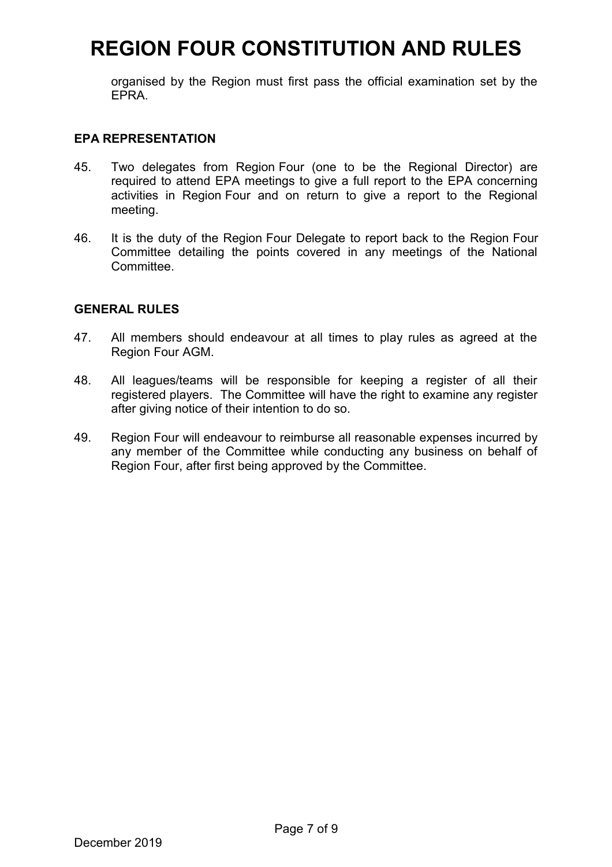organised by the Region must first pass the official examination set by the EPRA.

### **EPA REPRESENTATION**

- 45. Two delegates from Region Four (one to be the Regional Director) are required to attend EPA meetings to give a full report to the EPA concerning activities in Region Four and on return to give a report to the Regional meeting.
- 46. It is the duty of the Region Four Delegate to report back to the Region Four Committee detailing the points covered in any meetings of the National Committee.

#### **GENERAL RULES**

- 47. All members should endeavour at all times to play rules as agreed at the Region Four AGM.
- 48. All leagues/teams will be responsible for keeping a register of all their registered players. The Committee will have the right to examine any register after giving notice of their intention to do so.
- 49. Region Four will endeavour to reimburse all reasonable expenses incurred by any member of the Committee while conducting any business on behalf of Region Four, after first being approved by the Committee.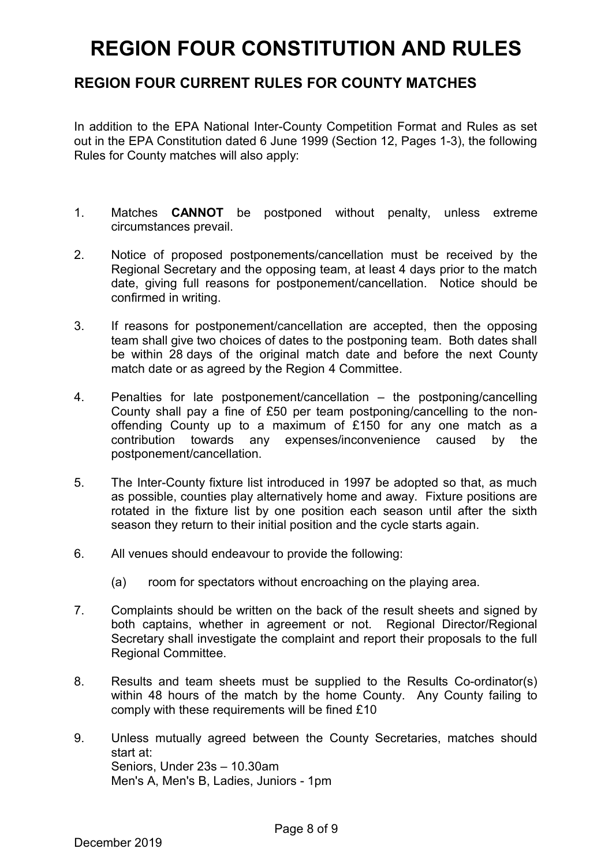## **REGION FOUR CURRENT RULES FOR COUNTY MATCHES**

In addition to the EPA National Inter-County Competition Format and Rules as set out in the EPA Constitution dated 6 June 1999 (Section 12, Pages 1-3), the following Rules for County matches will also apply:

- 1. Matches **CANNOT** be postponed without penalty, unless extreme circumstances prevail.
- 2. Notice of proposed postponements/cancellation must be received by the Regional Secretary and the opposing team, at least 4 days prior to the match date, giving full reasons for postponement/cancellation. Notice should be confirmed in writing.
- 3. If reasons for postponement/cancellation are accepted, then the opposing team shall give two choices of dates to the postponing team. Both dates shall be within 28 days of the original match date and before the next County match date or as agreed by the Region 4 Committee.
- 4. Penalties for late postponement/cancellation the postponing/cancelling County shall pay a fine of £50 per team postponing/cancelling to the nonoffending County up to a maximum of £150 for any one match as a contribution towards any expenses/inconvenience caused by the postponement/cancellation.
- 5. The Inter-County fixture list introduced in 1997 be adopted so that, as much as possible, counties play alternatively home and away. Fixture positions are rotated in the fixture list by one position each season until after the sixth season they return to their initial position and the cycle starts again.
- 6. All venues should endeavour to provide the following:
	- (a) room for spectators without encroaching on the playing area.
- 7. Complaints should be written on the back of the result sheets and signed by both captains, whether in agreement or not. Regional Director/Regional Secretary shall investigate the complaint and report their proposals to the full Regional Committee.
- 8. Results and team sheets must be supplied to the Results Co-ordinator(s) within 48 hours of the match by the home County. Any County failing to comply with these requirements will be fined £10
- 9. Unless mutually agreed between the County Secretaries, matches should start at: Seniors, Under 23s – 10.30am Men's A, Men's B, Ladies, Juniors - 1pm